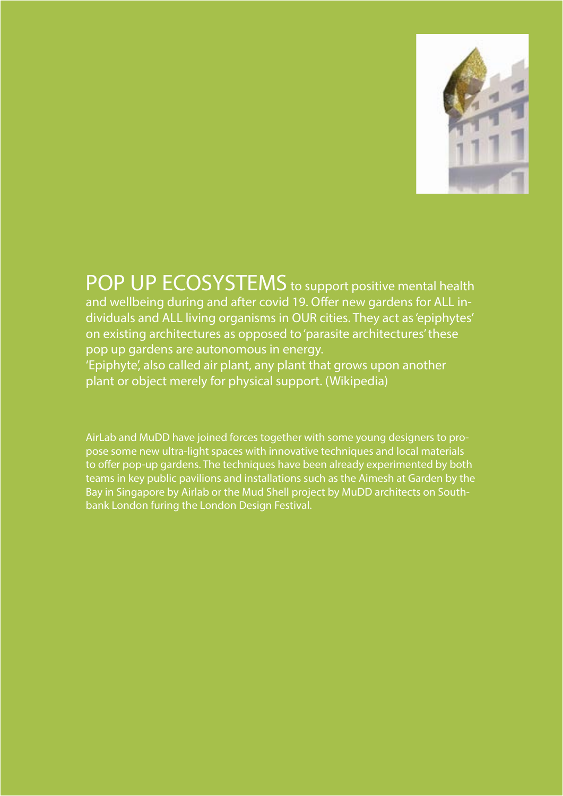

POP UP ECOSYSTEMS to support positive mental health and wellbeing during and after covid 19. Offer new gardens for ALL individuals and ALL living organisms in OUR cities. They act as 'epiphytes' on existing architectures as opposed to 'parasite architectures' these pop up gardens are autonomous in energy.

'Epiphyte', also called air plant, any plant that grows upon another plant or object merely for physical support. (Wikipedia)

AirLab and MuDD have joined forces together with some young designers to propose some new ultra-light spaces with innovative techniques and local materials to offer pop-up gardens. The techniques have been already experimented by both teams in key public pavilions and installations such as the Aimesh at Garden by the Bay in Singapore by Airlab or the Mud Shell project by MuDD architects on Southbank London furing the London Design Festival.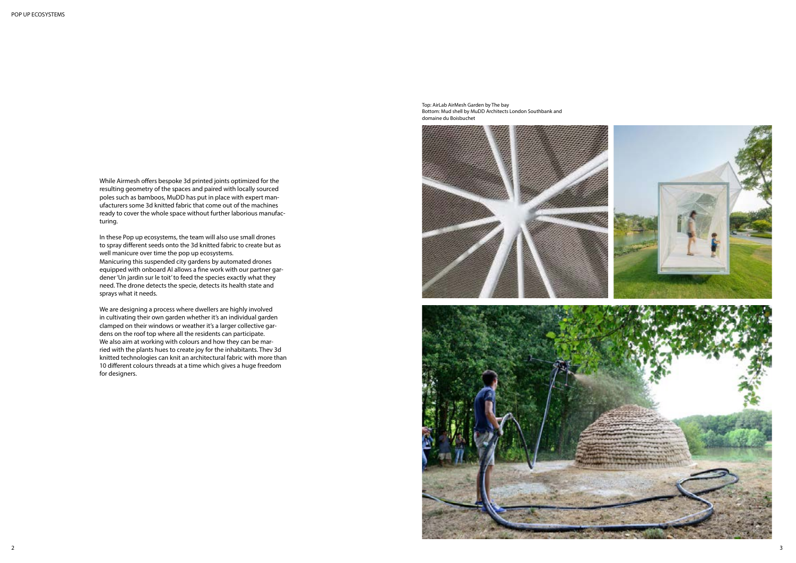

While Airmesh offers bespoke 3d printed joints optimized for the resulting geometry of the spaces and paired with locally sourced poles such as bamboos, MuDD has put in place with expert manufacturers some 3d knitted fabric that come out of the machines ready to cover the whole space without further laborious manufacturing.

In these Pop up ecosystems, the team will also use small drones to spray different seeds onto the 3d knitted fabric to create but as well manicure over time the pop up ecosystems. Manicuring this suspended city gardens by automated drones equipped with onboard AI allows a fine work with our partner gardener 'Un jardin sur le toit' to feed the species exactly what they need. The drone detects the specie, detects its health state and sprays what it needs.

We are designing a process where dwellers are highly involved in cultivating their own garden whether it's an individual garden clamped on their windows or weather it's a larger collective gardens on the roof top where all the residents can participate. We also aim at working with colours and how they can be married with the plants hues to create joy for the inhabitants. Thev 3d knitted technologies can knit an architectural fabric with more than 10 different colours threads at a time which gives a huge freedom for designers.

Top: AirLab AirMesh Garden by The bay Bottom: Mud shell by MuDD Architects London Southbank and domaine du Boisbuchet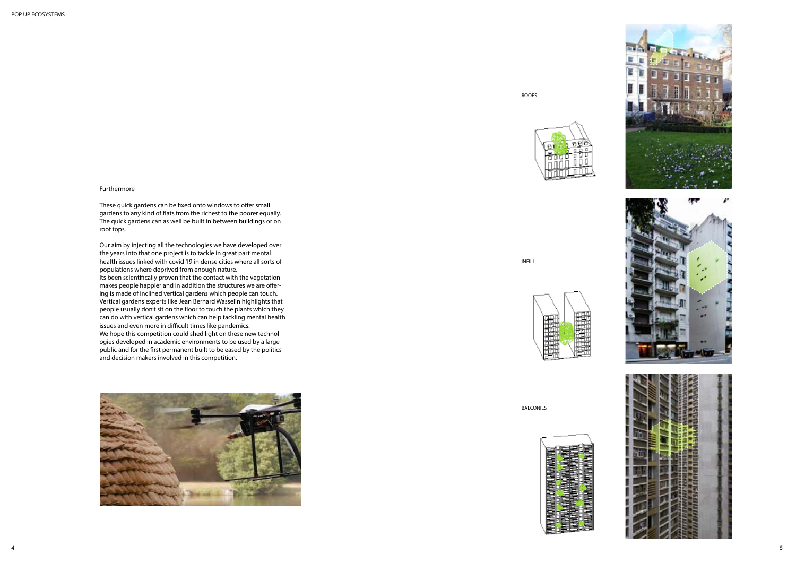4

ROOFS



INFILL



BALCONIES







## Furthermore

These quick gardens can be fixed onto windows to offer small gardens to any kind of flats from the richest to the poorer equally. The quick gardens can as well be built in between buildings or on roof tops.

Our aim by injecting all the technologies we have developed over the years into that one project is to tackle in great part mental health issues linked with covid 19 in dense cities where all sorts of populations where deprived from enough nature. Its been scientifically proven that the contact with the vegetation makes people happier and in addition the structures we are offer ing is made of inclined vertical gardens which people can touch. Vertical gardens experts like Jean Bernard Wasselin highlights that people usually don't sit on the floor to touch the plants which they can do with vertical gardens which can help tackling mental health issues and even more in difficult times like pandemics. We hope this competition could shed light on these new technologies developed in academic environments to be used by a large public and for the first permanent built to be eased by the politics and decision makers involved in this competition.

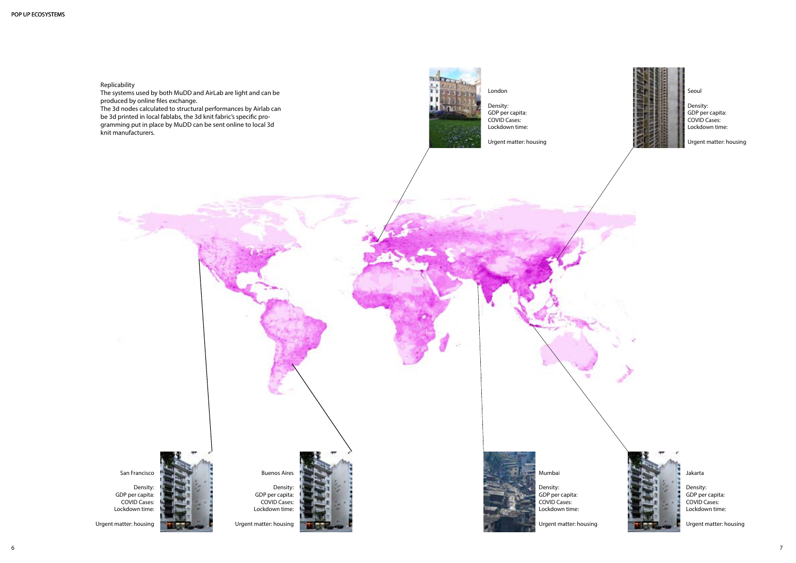

London

Density: GDP per capita: COVID Cases: Lockdown time:

Urgent matter: housing

Seoul

Density: GDP per capita: COVID Cases: Lockdown time:

Urgent matter: housing



Buenos Aires

Density:

GDP per capita: COVID Cases: Lockdown time:

Urgent matter: housing



Density: GDP per capita: COVID Cases: Lockdown time:

Urgent matter: housing

Jakarta

Density: GDP per capita: COVID Cases: Lockdown time:

Urgent matter: housing



Density: GDP per capita: COVID Cases: Lockdown time:

Urgent matter: housing

Replicability

The systems used by both MuDD and AirLab are light and can be produced by online files exchange.

The 3d nodes calculated to structural performances by Airlab can be 3d printed in local fablabs, the 3d knit fabric's specific programming put in place by MuDD can be sent online to local 3d knit manufacturers.

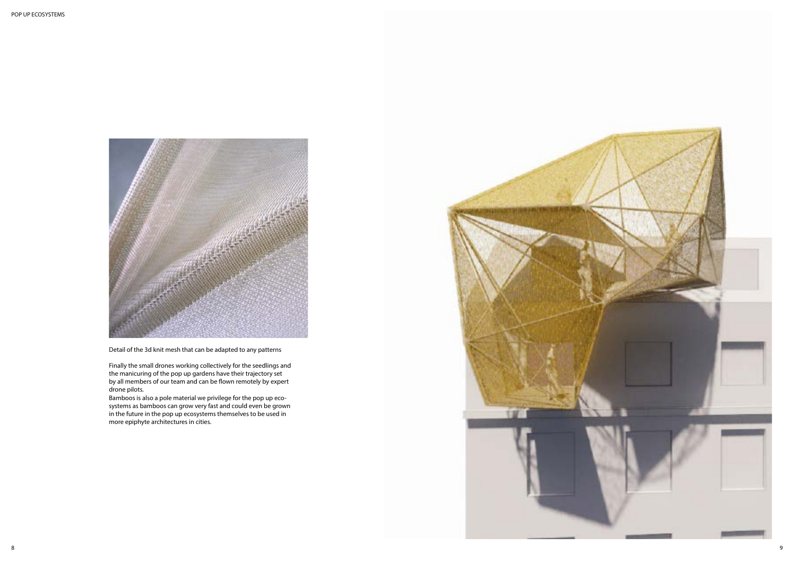

Detail of the 3d knit mesh that can be adapted to any patterns

Finally the small drones working collectively for the seedlings and the manicuring of the pop up gardens have their trajectory set by all members of our team and can be flown remotely by expert drone pilots.

Bamboos is also a pole material we privilege for the pop up eco systems as bamboos can grow very fast and could even be grown in the future in the pop up ecosystems themselves to be used in more epiphyte architectures in cities.

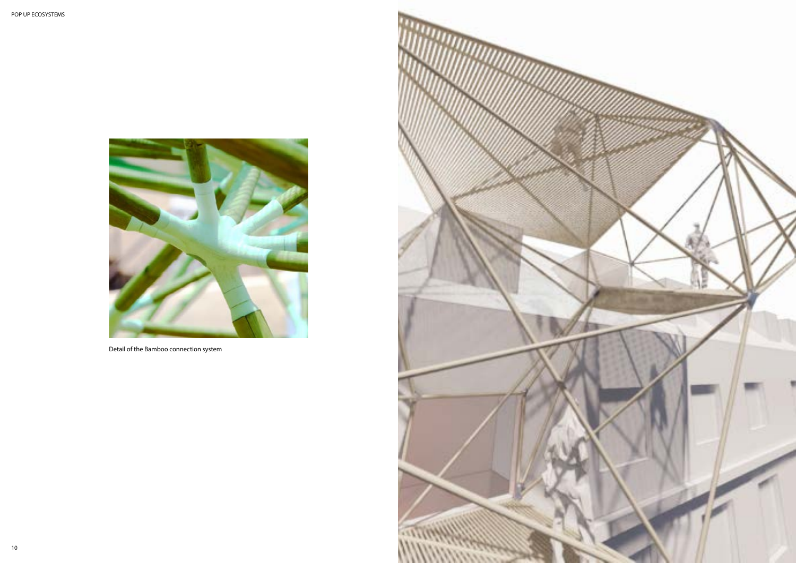



Detail of the Bamboo connection system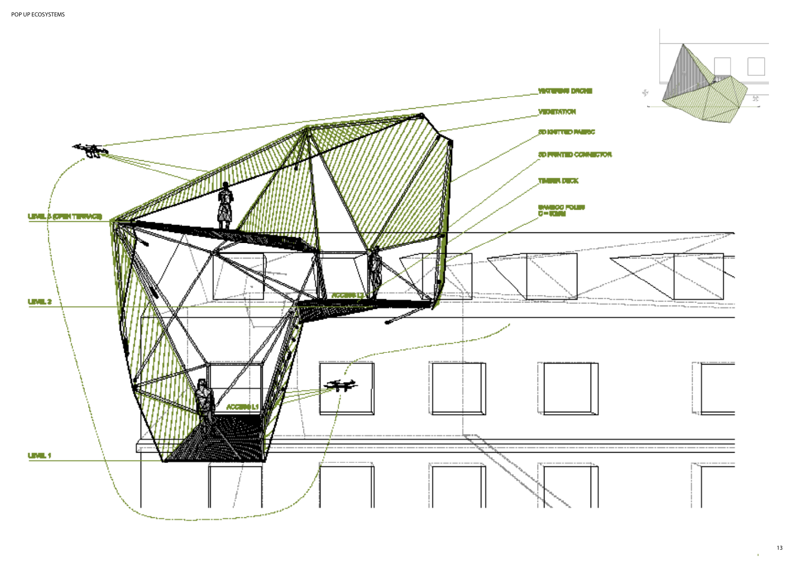



 $\mathbf{u}$  .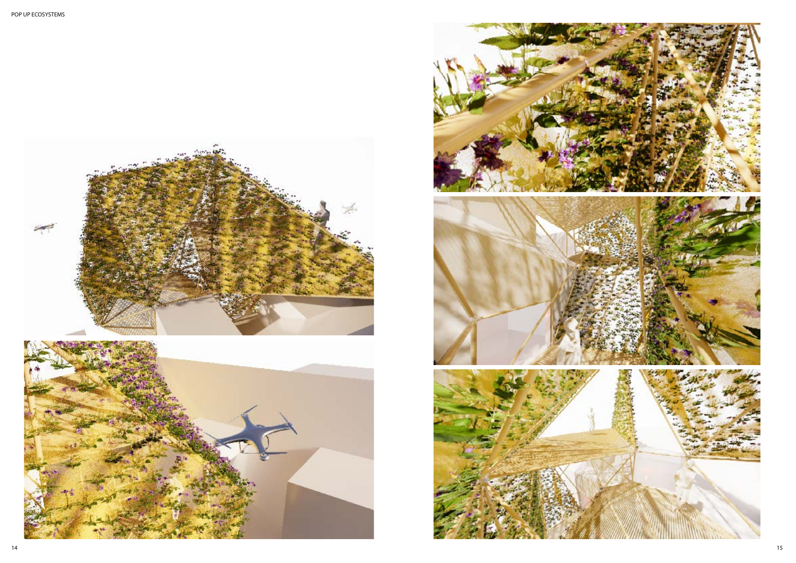







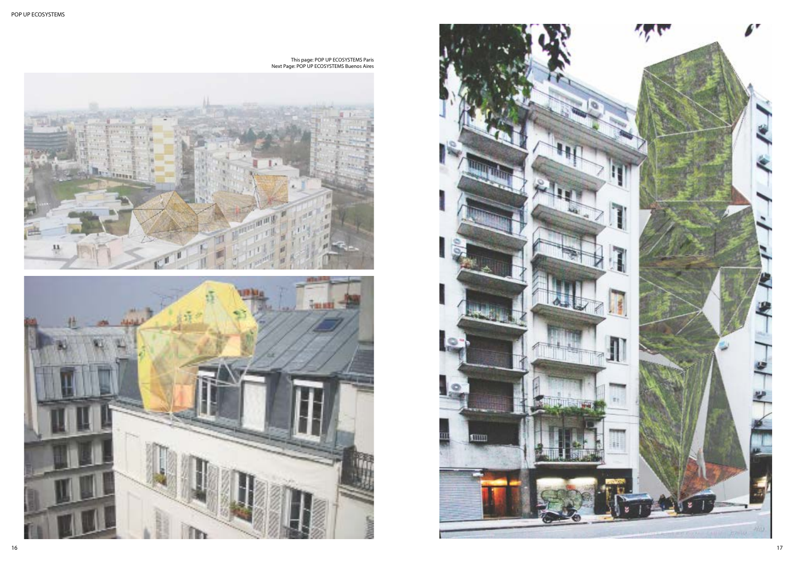This page: POP UP ECOSYSTEMS Paris Next Page: POP UP ECOSYSTEMS Buenos Aires



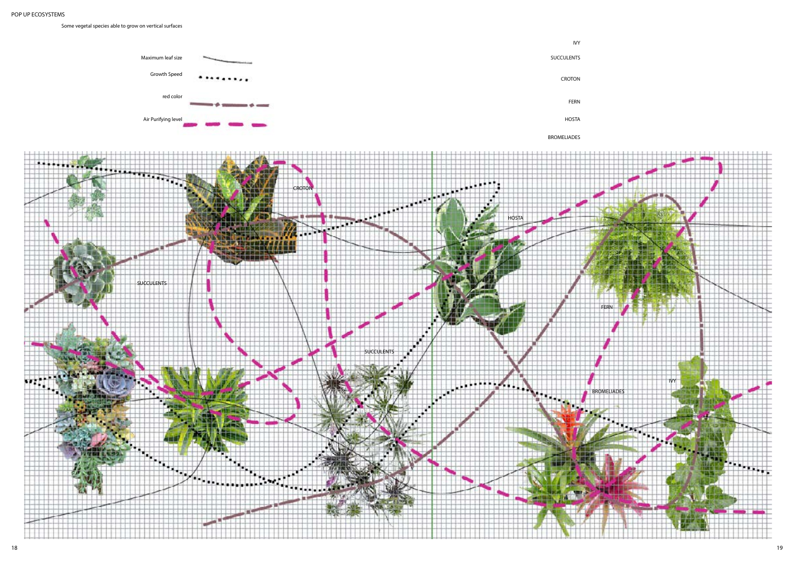18 19

Some vegetal species able to grow on vertical surfaces